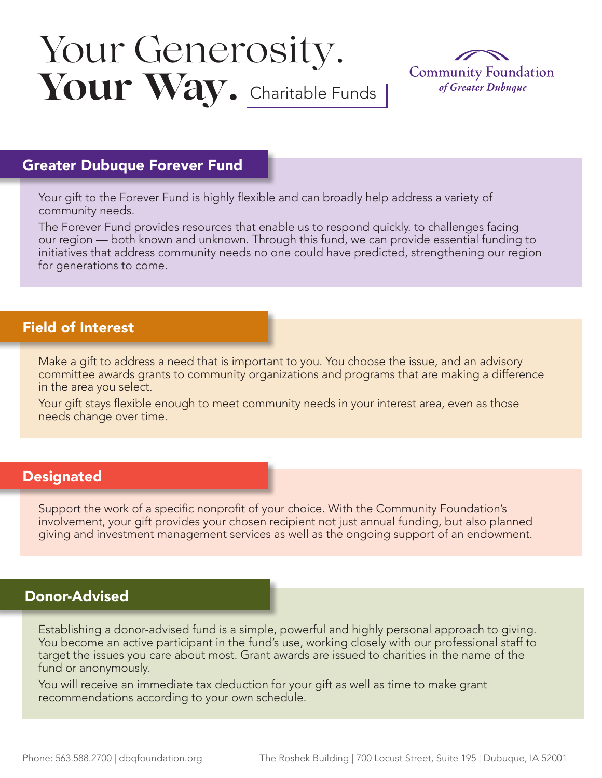# Your Way. Charitable Funds Your Generosity.



## Greater Dubuque Forever Fund

Your gift to the Forever Fund is highly flexible and can broadly help address a variety of community needs.

The Forever Fund provides resources that enable us to respond quickly. to challenges facing our region — both known and unknown. Through this fund, we can provide essential funding to initiatives that address community needs no one could have predicted, strengthening our region for generations to come.

# Field of Interest

Make a gift to address a need that is important to you. You choose the issue, and an advisory committee awards grants to community organizations and programs that are making a difference in the area you select.

Your gift stays flexible enough to meet community needs in your interest area, even as those needs change over time.

#### **Designated**

Support the work of a specific nonprofit of your choice. With the Community Foundation's involvement, your gift provides your chosen recipient not just annual funding, but also planned giving and investment management services as well as the ongoing support of an endowment.

#### Donor-Advised

Establishing a donor-advised fund is a simple, powerful and highly personal approach to giving. You become an active participant in the fund's use, working closely with our professional staff to target the issues you care about most. Grant awards are issued to charities in the name of the fund or anonymously.

You will receive an immediate tax deduction for your gift as well as time to make grant recommendations according to your own schedule.